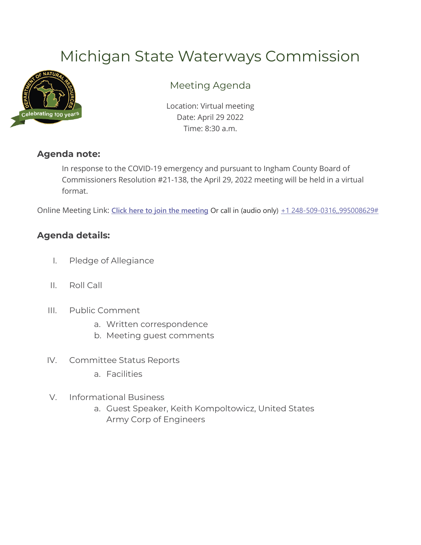# Michigan State Waterways Commission



## Meeting Agenda

Location: Virtual meeting Date: April 29 2022 Time: 8:30 a.m.

#### **Agenda note:**

In response to the COVID-19 emergency and pursuant to Ingham County Board of Commissioners Resolution #21-138, the April 29, 2022 meeting will be held in a virtual format.

Online Meeting Link: [Click here to join the meeting](https://teams.microsoft.com/l/meetup-join/19%3ameeting_MjljNDIzMjEtNWE5OC00MWQ5LTk4NjctYWZjNjE5N2I2MDQx%40thread.v2/0?context=%7b%22Tid%22%3a%22d5fb7087-3777-42ad-966a-892ef47225d1%22%2c%22Oid%22%3a%227d2e3d06-7571-49f8-b823-544a23fd55c4%22%7d) Or call in (audio only)  $+1$  248-509-0316,,995008629#

### **Agenda details:**

- I. Pledge of Allegiance
- II. Roll Call
- III. Public Comment
	- a. Written correspondence
	- b. Meeting guest comments
- IV. Committee Status Reports
	- a. Facilities
- V. Informational Business
	- a. Guest Speaker, Keith Kompoltowicz, United States Army Corp of Engineers